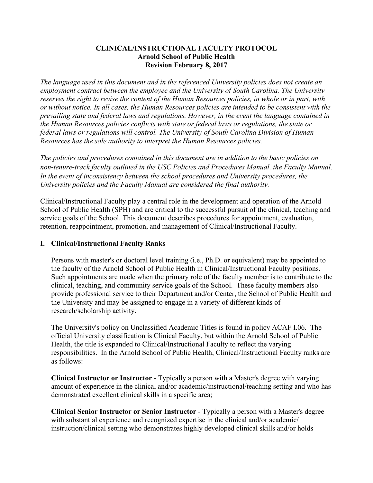### **CLINICAL/INSTRUCTIONAL FACULTY PROTOCOL Arnold School of Public Health Revision February 8, 2017**

*The language used in this document and in the referenced University policies does not create an employment contract between the employee and the University of South Carolina. The University reserves the right to revise the content of the Human Resources policies, in whole or in part, with or without notice. In all cases, the Human Resources policies are intended to be consistent with the prevailing state and federal laws and regulations. However, in the event the language contained in the Human Resources policies conflicts with state or federal laws or regulations, the state or federal laws or regulations will control. The University of South Carolina Division of Human Resources has the sole authority to interpret the Human Resources policies.*

*The policies and procedures contained in this document are in addition to the basic policies on non‐tenure‐track faculty outlined in the USC Policies and Procedures Manual, the Faculty Manual. In the event of inconsistency between the school procedures and University procedures, the University policies and the Faculty Manual are considered the final authority.*

Clinical/Instructional Faculty play a central role in the development and operation of the Arnold School of Public Health (SPH) and are critical to the successful pursuit of the clinical, teaching and service goals of the School. This document describes procedures for appointment, evaluation, retention, reappointment, promotion, and management of Clinical/Instructional Faculty.

# **I. Clinical/Instructional Faculty Ranks**

Persons with master's or doctoral level training (i.e., Ph.D. or equivalent) may be appointed to the faculty of the Arnold School of Public Health in Clinical/Instructional Faculty positions. Such appointments are made when the primary role of the faculty member is to contribute to the clinical, teaching, and community service goals of the School. These faculty members also provide professional service to their Department and/or Center, the School of Public Health and the University and may be assigned to engage in a variety of different kinds of research/scholarship activity.

The University's policy on Unclassified Academic Titles is found in policy ACAF I.06. The official University classification is Clinical Faculty, but within the Arnold School of Public Health, the title is expanded to Clinical/Instructional Faculty to reflect the varying responsibilities. In the Arnold School of Public Health, Clinical/Instructional Faculty ranks are as follows:

**Clinical Instructor or Instructor** - Typically a person with a Master's degree with varying amount of experience in the clinical and/or academic/instructional/teaching setting and who has demonstrated excellent clinical skills in a specific area;

**Clinical Senior Instructor or Senior Instructor** - Typically a person with a Master's degree with substantial experience and recognized expertise in the clinical and/or academic/ instruction/clinical setting who demonstrates highly developed clinical skills and/or holds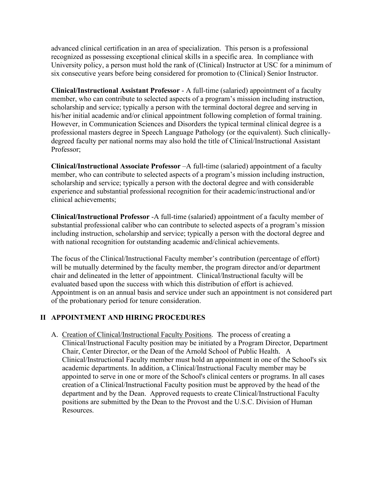advanced clinical certification in an area of specialization. This person is a professional recognized as possessing exceptional clinical skills in a specific area. In compliance with University policy, a person must hold the rank of (Clinical) Instructor at USC for a minimum of six consecutive years before being considered for promotion to (Clinical) Senior Instructor.

**Clinical/Instructional Assistant Professor** - A full-time (salaried) appointment of a faculty member, who can contribute to selected aspects of a program's mission including instruction, scholarship and service; typically a person with the terminal doctoral degree and serving in his/her initial academic and/or clinical appointment following completion of formal training. However, in Communication Sciences and Disorders the typical terminal clinical degree is a professional masters degree in Speech Language Pathology (or the equivalent). Such clinicallydegreed faculty per national norms may also hold the title of Clinical/Instructional Assistant Professor;

**Clinical/Instructional Associate Professor** –A full-time (salaried) appointment of a faculty member, who can contribute to selected aspects of a program's mission including instruction, scholarship and service; typically a person with the doctoral degree and with considerable experience and substantial professional recognition for their academic/instructional and/or clinical achievements;

**Clinical/Instructional Professor** -A full-time (salaried) appointment of a faculty member of substantial professional caliber who can contribute to selected aspects of a program's mission including instruction, scholarship and service; typically a person with the doctoral degree and with national recognition for outstanding academic and/clinical achievements.

The focus of the Clinical/Instructional Faculty member's contribution (percentage of effort) will be mutually determined by the faculty member, the program director and/or department chair and delineated in the letter of appointment. Clinical/Instructional faculty will be evaluated based upon the success with which this distribution of effort is achieved. Appointment is on an annual basis and service under such an appointment is not considered part of the probationary period for tenure consideration.

# **II APPOINTMENT AND HIRING PROCEDURES**

A. Creation of Clinical/Instructional Faculty Positions. The process of creating a Clinical/Instructional Faculty position may be initiated by a Program Director, Department Chair, Center Director, or the Dean of the Arnold School of Public Health. A Clinical/Instructional Faculty member must hold an appointment in one of the School's six academic departments. In addition, a Clinical/Instructional Faculty member may be appointed to serve in one or more of the School's clinical centers or programs. In all cases creation of a Clinical/Instructional Faculty position must be approved by the head of the department and by the Dean. Approved requests to create Clinical/Instructional Faculty positions are submitted by the Dean to the Provost and the U.S.C. Division of Human Resources.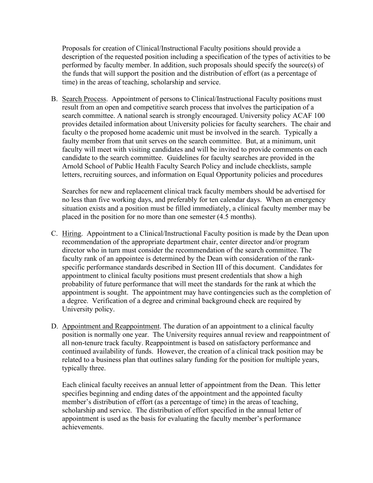Proposals for creation of Clinical/Instructional Faculty positions should provide a description of the requested position including a specification of the types of activities to be performed by faculty member. In addition, such proposals should specify the source(s) of the funds that will support the position and the distribution of effort (as a percentage of time) in the areas of teaching, scholarship and service.

B. Search Process. Appointment of persons to Clinical/Instructional Faculty positions must result from an open and competitive search process that involves the participation of a search committee. A national search is strongly encouraged. University policy ACAF 100 provides detailed information about University policies for faculty searchers. The chair and faculty o the proposed home academic unit must be involved in the search. Typically a faulty member from that unit serves on the search committee. But, at a minimum, unit faculty will meet with visiting candidates and will be invited to provide comments on each candidate to the search committee. Guidelines for faculty searches are provided in the Arnold School of Public Health Faculty Search Policy and include checklists, sample letters, recruiting sources, and information on Equal Opportunity policies and procedures

Searches for new and replacement clinical track faculty members should be advertised for no less than five working days, and preferably for ten calendar days. When an emergency situation exists and a position must be filled immediately, a clinical faculty member may be placed in the position for no more than one semester (4.5 months).

- C. Hiring. Appointment to a Clinical/Instructional Faculty position is made by the Dean upon recommendation of the appropriate department chair, center director and/or program director who in turn must consider the recommendation of the search committee. The faculty rank of an appointee is determined by the Dean with consideration of the rankspecific performance standards described in Section III of this document. Candidates for appointment to clinical faculty positions must present credentials that show a high probability of future performance that will meet the standards for the rank at which the appointment is sought. The appointment may have contingencies such as the completion of a degree. Verification of a degree and criminal background check are required by University policy.
- D. Appointment and Reappointment. The duration of an appointment to a clinical faculty position is normally one year. The University requires annual review and reappointment of all non-tenure track faculty. Reappointment is based on satisfactory performance and continued availability of funds. However, the creation of a clinical track position may be related to a business plan that outlines salary funding for the position for multiple years, typically three.

Each clinical faculty receives an annual letter of appointment from the Dean. This letter specifies beginning and ending dates of the appointment and the appointed faculty member's distribution of effort (as a percentage of time) in the areas of teaching, scholarship and service. The distribution of effort specified in the annual letter of appointment is used as the basis for evaluating the faculty member's performance achievements.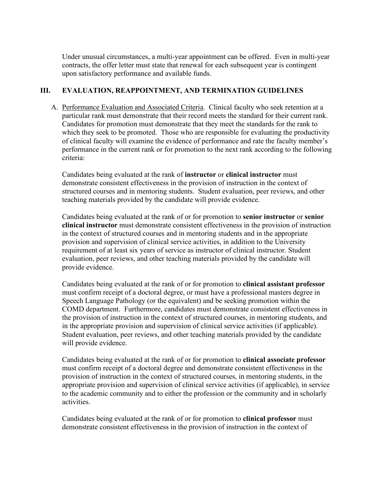Under unusual circumstances, a multi-year appointment can be offered. Even in multi-year contracts, the offer letter must state that renewal for each subsequent year is contingent upon satisfactory performance and available funds.

# **III. EVALUATION, REAPPOINTMENT, AND TERMINATION GUIDELINES**

A. Performance Evaluation and Associated Criteria. Clinical faculty who seek retention at a particular rank must demonstrate that their record meets the standard for their current rank. Candidates for promotion must demonstrate that they meet the standards for the rank to which they seek to be promoted. Those who are responsible for evaluating the productivity of clinical faculty will examine the evidence of performance and rate the faculty member's performance in the current rank or for promotion to the next rank according to the following criteria:

Candidates being evaluated at the rank of **instructor** or **clinical instructor** must demonstrate consistent effectiveness in the provision of instruction in the context of structured courses and in mentoring students. Student evaluation, peer reviews, and other teaching materials provided by the candidate will provide evidence.

Candidates being evaluated at the rank of or for promotion to **senior instructor** or **senior clinical instructor** must demonstrate consistent effectiveness in the provision of instruction in the context of structured courses and in mentoring students and in the appropriate provision and supervision of clinical service activities, in addition to the University requirement of at least six years of service as instructor of clinical instructor. Student evaluation, peer reviews, and other teaching materials provided by the candidate will provide evidence.

Candidates being evaluated at the rank of or for promotion to **clinical assistant professor** must confirm receipt of a doctoral degree, or must have a professional masters degree in Speech Language Pathology (or the equivalent) and be seeking promotion within the COMD department. Furthermore, candidates must demonstrate consistent effectiveness in the provision of instruction in the context of structured courses, in mentoring students, and in the appropriate provision and supervision of clinical service activities (if applicable). Student evaluation, peer reviews, and other teaching materials provided by the candidate will provide evidence.

Candidates being evaluated at the rank of or for promotion to **clinical associate professor** must confirm receipt of a doctoral degree and demonstrate consistent effectiveness in the provision of instruction in the context of structured courses, in mentoring students, in the appropriate provision and supervision of clinical service activities (if applicable), in service to the academic community and to either the profession or the community and in scholarly activities.

Candidates being evaluated at the rank of or for promotion to **clinical professor** must demonstrate consistent effectiveness in the provision of instruction in the context of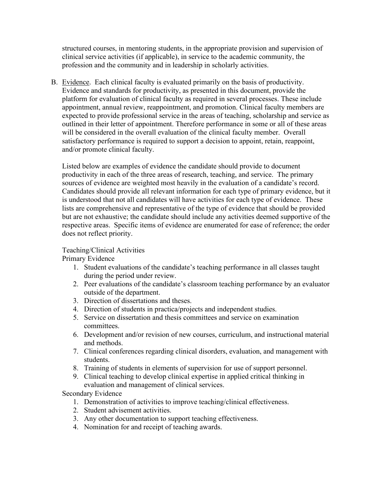structured courses, in mentoring students, in the appropriate provision and supervision of clinical service activities (if applicable), in service to the academic community, the profession and the community and in leadership in scholarly activities.

B. Evidence. Each clinical faculty is evaluated primarily on the basis of productivity. Evidence and standards for productivity, as presented in this document, provide the platform for evaluation of clinical faculty as required in several processes. These include appointment, annual review, reappointment, and promotion. Clinical faculty members are expected to provide professional service in the areas of teaching, scholarship and service as outlined in their letter of appointment. Therefore performance in some or all of these areas will be considered in the overall evaluation of the clinical faculty member. Overall satisfactory performance is required to support a decision to appoint, retain, reappoint, and/or promote clinical faculty.

Listed below are examples of evidence the candidate should provide to document productivity in each of the three areas of research, teaching, and service. The primary sources of evidence are weighted most heavily in the evaluation of a candidate's record. Candidates should provide all relevant information for each type of primary evidence, but it is understood that not all candidates will have activities for each type of evidence. These lists are comprehensive and representative of the type of evidence that should be provided but are not exhaustive; the candidate should include any activities deemed supportive of the respective areas. Specific items of evidence are enumerated for ease of reference; the order does not reflect priority.

Teaching/Clinical Activities

Primary Evidence

- 1. Student evaluations of the candidate's teaching performance in all classes taught during the period under review.
- 2. Peer evaluations of the candidate's classroom teaching performance by an evaluator outside of the department.
- 3. Direction of dissertations and theses.
- 4. Direction of students in practica/projects and independent studies.
- 5. Service on dissertation and thesis committees and service on examination committees.
- 6. Development and/or revision of new courses, curriculum, and instructional material and methods.
- 7. Clinical conferences regarding clinical disorders, evaluation, and management with students.
- 8. Training of students in elements of supervision for use of support personnel.
- 9. Clinical teaching to develop clinical expertise in applied critical thinking in evaluation and management of clinical services.

Secondary Evidence

- 1. Demonstration of activities to improve teaching/clinical effectiveness.
- 2. Student advisement activities.
- 3. Any other documentation to support teaching effectiveness.
- 4. Nomination for and receipt of teaching awards.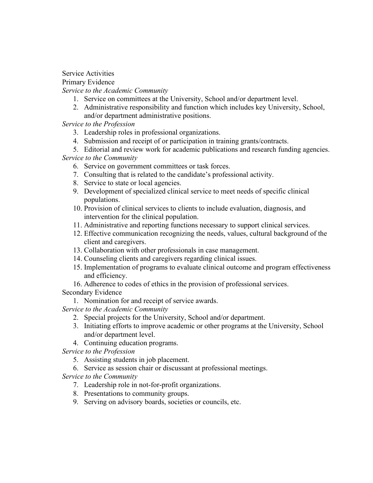Service Activities

Primary Evidence

*Service to the Academic Community*

- 1. Service on committees at the University, School and/or department level.
- 2. Administrative responsibility and function which includes key University, School, and/or department administrative positions.

*Service to the Profession*

- 3. Leadership roles in professional organizations.
- 4. Submission and receipt of or participation in training grants/contracts.
- 5. Editorial and review work for academic publications and research funding agencies. *Service to the Community*
	- 6. Service on government committees or task forces.
	- 7. Consulting that is related to the candidate's professional activity.
	- 8. Service to state or local agencies.
	- 9. Development of specialized clinical service to meet needs of specific clinical populations.
	- 10. Provision of clinical services to clients to include evaluation, diagnosis, and intervention for the clinical population.
	- 11. Administrative and reporting functions necessary to support clinical services.
	- 12. Effective communication recognizing the needs, values, cultural background of the client and caregivers.
	- 13. Collaboration with other professionals in case management.
	- 14. Counseling clients and caregivers regarding clinical issues.
	- 15. Implementation of programs to evaluate clinical outcome and program effectiveness and efficiency.
	- 16. Adherence to codes of ethics in the provision of professional services.

Secondary Evidence

1. Nomination for and receipt of service awards.

*Service to the Academic Community*

- 2. Special projects for the University, School and/or department.
- 3. Initiating efforts to improve academic or other programs at the University, School and/or department level.
- 4. Continuing education programs.

*Service to the Profession*

- 5. Assisting students in job placement.
- 6. Service as session chair or discussant at professional meetings.

*Service to the Community*

- 7. Leadership role in not-for-profit organizations.
- 8. Presentations to community groups.
- 9. Serving on advisory boards, societies or councils, etc.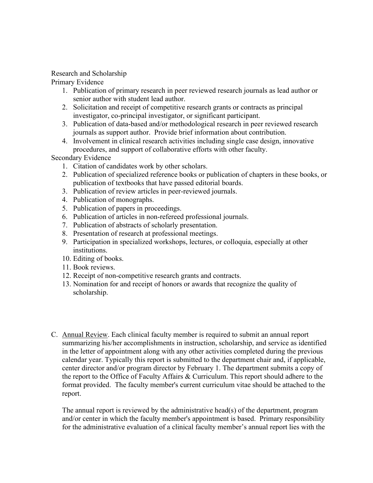## Research and Scholarship

Primary Evidence

- 1. Publication of primary research in peer reviewed research journals as lead author or senior author with student lead author.
- 2. Solicitation and receipt of competitive research grants or contracts as principal investigator, co-principal investigator, or significant participant.
- 3. Publication of data-based and/or methodological research in peer reviewed research journals as support author. Provide brief information about contribution.
- 4. Involvement in clinical research activities including single case design, innovative procedures, and support of collaborative efforts with other faculty.

# Secondary Evidence

- 1. Citation of candidates work by other scholars.
- 2. Publication of specialized reference books or publication of chapters in these books, or publication of textbooks that have passed editorial boards.
- 3. Publication of review articles in peer-reviewed journals.
- 4. Publication of monographs.
- 5. Publication of papers in proceedings.
- 6. Publication of articles in non-refereed professional journals.
- 7. Publication of abstracts of scholarly presentation.
- 8. Presentation of research at professional meetings.
- 9. Participation in specialized workshops, lectures, or colloquia, especially at other institutions.
- 10. Editing of books.
- 11. Book reviews.
- 12. Receipt of non-competitive research grants and contracts.
- 13. Nomination for and receipt of honors or awards that recognize the quality of scholarship.
- C. Annual Review. Each clinical faculty member is required to submit an annual report summarizing his/her accomplishments in instruction, scholarship, and service as identified in the letter of appointment along with any other activities completed during the previous calendar year. Typically this report is submitted to the department chair and, if applicable, center director and/or program director by February 1. The department submits a copy of the report to the Office of Faculty Affairs & Curriculum. This report should adhere to the format provided. The faculty member's current curriculum vitae should be attached to the report.

The annual report is reviewed by the administrative head(s) of the department, program and/or center in which the faculty member's appointment is based. Primary responsibility for the administrative evaluation of a clinical faculty member's annual report lies with the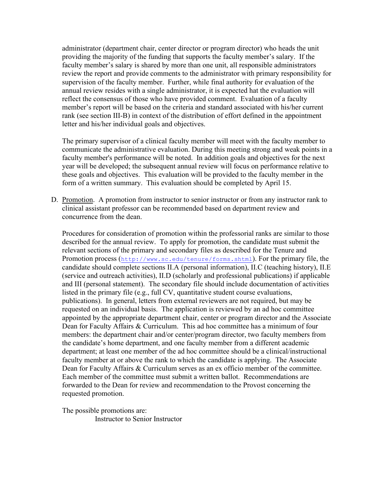administrator (department chair, center director or program director) who heads the unit providing the majority of the funding that supports the faculty member's salary. If the faculty member's salary is shared by more than one unit, all responsible administrators review the report and provide comments to the administrator with primary responsibility for supervision of the faculty member. Further, while final authority for evaluation of the annual review resides with a single administrator, it is expected hat the evaluation will reflect the consensus of those who have provided comment. Evaluation of a faculty member's report will be based on the criteria and standard associated with his/her current rank (see section III-B) in context of the distribution of effort defined in the appointment letter and his/her individual goals and objectives.

The primary supervisor of a clinical faculty member will meet with the faculty member to communicate the administrative evaluation. During this meeting strong and weak points in a faculty member's performance will be noted. In addition goals and objectives for the next year will be developed; the subsequent annual review will focus on performance relative to these goals and objectives. This evaluation will be provided to the faculty member in the form of a written summary. This evaluation should be completed by April 15.

D. Promotion. A promotion from instructor to senior instructor or from any instructor rank to clinical assistant professor can be recommended based on department review and concurrence from the dean.

Procedures for consideration of promotion within the professorial ranks are similar to those described for the annual review. To apply for promotion, the candidate must submit the relevant sections of the primary and secondary files as described for the Tenure and Promotion process ([http://www.sc.edu/tenure/forms.shtml](https://sc.edu/about/offices_and_divisions/provost/faculty/professional_track_faculty/faculty_promotions/index.php)). For the primary file, the candidate should complete sections II.A (personal information), II.C (teaching history), II.E (service and outreach activities), II.D (scholarly and professional publications) if applicable and III (personal statement). The secondary file should include documentation of activities listed in the primary file (e.g., full CV, quantitative student course evaluations, publications). In general, letters from external reviewers are not required, but may be requested on an individual basis. The application is reviewed by an ad hoc committee appointed by the appropriate department chair, center or program director and the Associate Dean for Faculty Affairs & Curriculum. This ad hoc committee has a minimum of four members: the department chair and/or center/program director, two faculty members from the candidate's home department, and one faculty member from a different academic department; at least one member of the ad hoc committee should be a clinical/instructional faculty member at or above the rank to which the candidate is applying. The Associate Dean for Faculty Affairs & Curriculum serves as an ex officio member of the committee. Each member of the committee must submit a written ballot. Recommendations are forwarded to the Dean for review and recommendation to the Provost concerning the requested promotion.

The possible promotions are: Instructor to Senior Instructor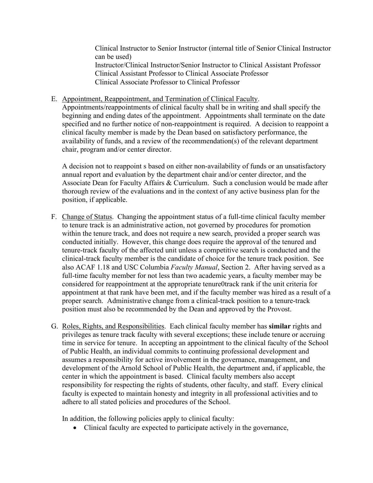Clinical Instructor to Senior Instructor (internal title of Senior Clinical Instructor can be used) Instructor/Clinical Instructor/Senior Instructor to Clinical Assistant Professor Clinical Assistant Professor to Clinical Associate Professor Clinical Associate Professor to Clinical Professor

E. Appointment, Reappointment, and Termination of Clinical Faculty. Appointments/reappointments of clinical faculty shall be in writing and shall specify the beginning and ending dates of the appointment. Appointments shall terminate on the date specified and no further notice of non-reappointment is required. A decision to reappoint a clinical faculty member is made by the Dean based on satisfactory performance, the availability of funds, and a review of the recommendation(s) of the relevant department chair, program and/or center director.

A decision not to reappoint s based on either non-availability of funds or an unsatisfactory annual report and evaluation by the department chair and/or center director, and the Associate Dean for Faculty Affairs & Curriculum. Such a conclusion would be made after thorough review of the evaluations and in the context of any active business plan for the position, if applicable.

- F. Change of Status. Changing the appointment status of a full-time clinical faculty member to tenure track is an administrative action, not governed by procedures for promotion within the tenure track, and does not require a new search, provided a proper search was conducted initially. However, this change does require the approval of the tenured and tenure-track faculty of the affected unit unless a competitive search is conducted and the clinical-track faculty member is the candidate of choice for the tenure track position. See also ACAF 1.18 and USC Columbia *Faculty Manual*, Section 2. After having served as a full-time faculty member for not less than two academic years, a faculty member may be considered for reappointment at the appropriate tenure0track rank if the unit criteria for appointment at that rank have been met, and if the faculty member was hired as a result of a proper search. Administrative change from a clinical-track position to a tenure-track position must also be recommended by the Dean and approved by the Provost.
- G. Roles, Rights, and Responsibilities. Each clinical faculty member has **similar** rights and privileges as tenure track faculty with several exceptions; these include tenure or accruing time in service for tenure. In accepting an appointment to the clinical faculty of the School of Public Health, an individual commits to continuing professional development and assumes a responsibility for active involvement in the governance, management, and development of the Arnold School of Public Health, the department and, if applicable, the center in which the appointment is based. Clinical faculty members also accept responsibility for respecting the rights of students, other faculty, and staff. Every clinical faculty is expected to maintain honesty and integrity in all professional activities and to adhere to all stated policies and procedures of the School.

In addition, the following policies apply to clinical faculty:

• Clinical faculty are expected to participate actively in the governance,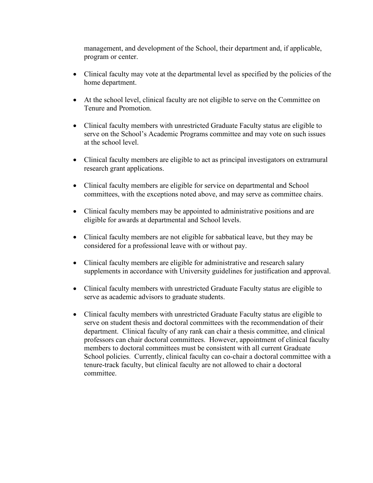management, and development of the School, their department and, if applicable, program or center.

- Clinical faculty may vote at the departmental level as specified by the policies of the home department.
- At the school level, clinical faculty are not eligible to serve on the Committee on Tenure and Promotion.
- Clinical faculty members with unrestricted Graduate Faculty status are eligible to serve on the School's Academic Programs committee and may vote on such issues at the school level.
- Clinical faculty members are eligible to act as principal investigators on extramural research grant applications.
- Clinical faculty members are eligible for service on departmental and School committees, with the exceptions noted above, and may serve as committee chairs.
- Clinical faculty members may be appointed to administrative positions and are eligible for awards at departmental and School levels.
- Clinical faculty members are not eligible for sabbatical leave, but they may be considered for a professional leave with or without pay.
- Clinical faculty members are eligible for administrative and research salary supplements in accordance with University guidelines for justification and approval.
- Clinical faculty members with unrestricted Graduate Faculty status are eligible to serve as academic advisors to graduate students.
- Clinical faculty members with unrestricted Graduate Faculty status are eligible to serve on student thesis and doctoral committees with the recommendation of their department. Clinical faculty of any rank can chair a thesis committee, and clinical professors can chair doctoral committees. However, appointment of clinical faculty members to doctoral committees must be consistent with all current Graduate School policies. Currently, clinical faculty can co-chair a doctoral committee with a tenure-track faculty, but clinical faculty are not allowed to chair a doctoral committee.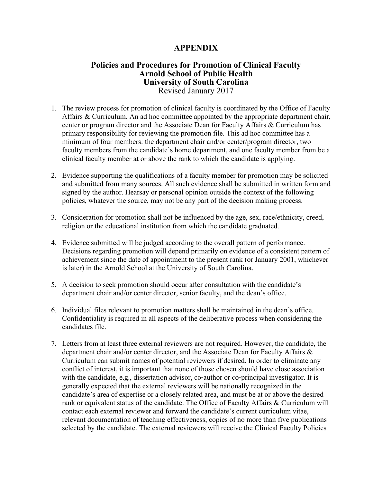# **APPENDIX**

# **Policies and Procedures for Promotion of Clinical Faculty Arnold School of Public Health University of South Carolina** Revised January 2017

- 1. The review process for promotion of clinical faculty is coordinated by the Office of Faculty Affairs & Curriculum. An ad hoc committee appointed by the appropriate department chair, center or program director and the Associate Dean for Faculty Affairs & Curriculum has primary responsibility for reviewing the promotion file. This ad hoc committee has a minimum of four members: the department chair and/or center/program director, two faculty members from the candidate's home department, and one faculty member from be a clinical faculty member at or above the rank to which the candidate is applying.
- 2. Evidence supporting the qualifications of a faculty member for promotion may be solicited and submitted from many sources. All such evidence shall be submitted in written form and signed by the author. Hearsay or personal opinion outside the context of the following policies, whatever the source, may not be any part of the decision making process.
- 3. Consideration for promotion shall not be influenced by the age, sex, race/ethnicity, creed, religion or the educational institution from which the candidate graduated.
- 4. Evidence submitted will be judged according to the overall pattern of performance. Decisions regarding promotion will depend primarily on evidence of a consistent pattern of achievement since the date of appointment to the present rank (or January 2001, whichever is later) in the Arnold School at the University of South Carolina.
- 5. A decision to seek promotion should occur after consultation with the candidate's department chair and/or center director, senior faculty, and the dean's office.
- 6. Individual files relevant to promotion matters shall be maintained in the dean's office. Confidentiality is required in all aspects of the deliberative process when considering the candidates file.
- 7. Letters from at least three external reviewers are not required. However, the candidate, the department chair and/or center director, and the Associate Dean for Faculty Affairs & Curriculum can submit names of potential reviewers if desired. In order to eliminate any conflict of interest, it is important that none of those chosen should have close association with the candidate, e.g., dissertation advisor, co-author or co-principal investigator. It is generally expected that the external reviewers will be nationally recognized in the candidate's area of expertise or a closely related area, and must be at or above the desired rank or equivalent status of the candidate. The Office of Faculty Affairs & Curriculum will contact each external reviewer and forward the candidate's current curriculum vitae, relevant documentation of teaching effectiveness, copies of no more than five publications selected by the candidate. The external reviewers will receive the Clinical Faculty Policies